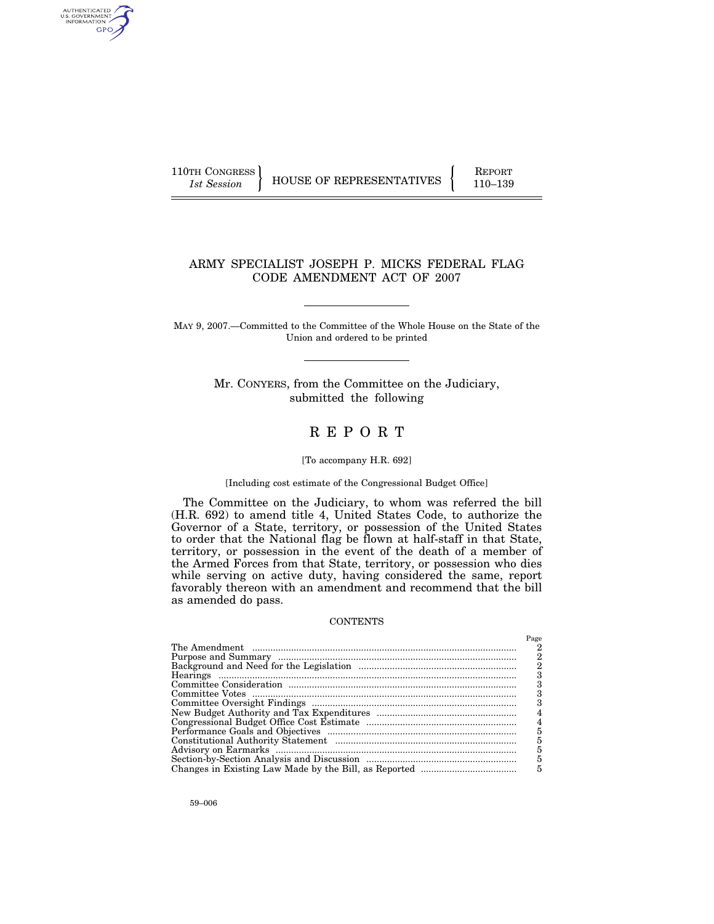110TH CONGRESS REPORT

AUTHENTICATED<br>U.S. GOVERNMENT<br>INFORMATION GPO

1st Session **HOUSE OF REPRESENTATIVES** 110–139

## ARMY SPECIALIST JOSEPH P. MICKS FEDERAL FLAG CODE AMENDMENT ACT OF 2007

MAY 9, 2007.—Committed to the Committee of the Whole House on the State of the Union and ordered to be printed

> Mr. CONYERS, from the Committee on the Judiciary, submitted the following

## R E P O R T

### [To accompany H.R. 692]

## [Including cost estimate of the Congressional Budget Office]

The Committee on the Judiciary, to whom was referred the bill (H.R. 692) to amend title 4, United States Code, to authorize the Governor of a State, territory, or possession of the United States to order that the National flag be flown at half-staff in that State, territory, or possession in the event of the death of a member of the Armed Forces from that State, territory, or possession who dies while serving on active duty, having considered the same, report favorably thereon with an amendment and recommend that the bill as amended do pass.

#### **CONTENTS**

| Page |
|------|
|      |
| 2    |
| 2    |
|      |
|      |
|      |
|      |
|      |
| 4    |
| 5    |
| 5    |
| 5    |
| 5    |
| 5    |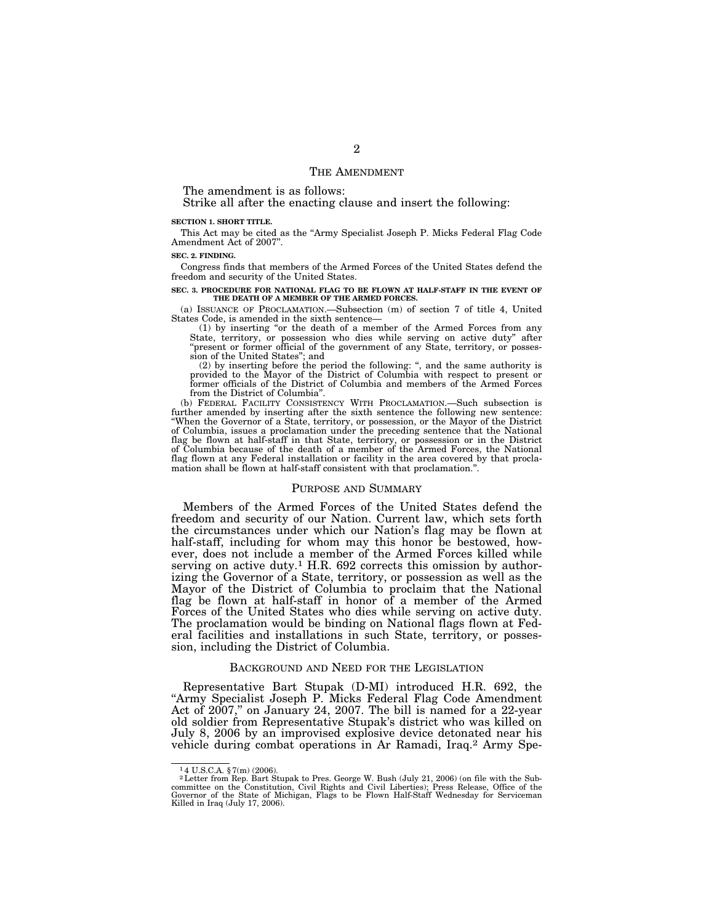## THE AMENDMENT

The amendment is as follows:

Strike all after the enacting clause and insert the following:

#### **SECTION 1. SHORT TITLE.**

This Act may be cited as the ''Army Specialist Joseph P. Micks Federal Flag Code Amendment Act of 2007''.

#### **SEC. 2. FINDING.**

Congress finds that members of the Armed Forces of the United States defend the freedom and security of the United States.

#### **SEC. 3. PROCEDURE FOR NATIONAL FLAG TO BE FLOWN AT HALF-STAFF IN THE EVENT OF THE DEATH OF A MEMBER OF THE ARMED FORCES.**

(a) ISSUANCE OF PROCLAMATION.—Subsection (m) of section 7 of title 4, United States Code, is amended in the sixth sentence—

(1) by inserting ''or the death of a member of the Armed Forces from any State, territory, or possession who dies while serving on active duty" after ''present or former official of the government of any State, territory, or possession of the United States''; and

(2) by inserting before the period the following: '', and the same authority is provided to the Mayor of the District of Columbia with respect to present or former officials of the District of Columbia and members of the Armed Forces from the District of Columbia''.

(b) FEDERAL FACILITY CONSISTENCY WITH PROCLAMATION.—Such subsection is further amended by inserting after the sixth sentence the following new sentence: ''When the Governor of a State, territory, or possession, or the Mayor of the District of Columbia, issues a proclamation under the preceding sentence that the National flag be flown at half-staff in that State, territory, or possession or in the District of Columbia because of the death of a member of the Armed Forces, the National flag flown at any Federal installation or facility in the area covered by that proclamation shall be flown at half-staff consistent with that proclamation.''.

### PURPOSE AND SUMMARY

Members of the Armed Forces of the United States defend the freedom and security of our Nation. Current law, which sets forth the circumstances under which our Nation's flag may be flown at half-staff, including for whom may this honor be bestowed, however, does not include a member of the Armed Forces killed while serving on active duty.<sup>1</sup> H.R. 692 corrects this omission by authorizing the Governor of a State, territory, or possession as well as the Mayor of the District of Columbia to proclaim that the National flag be flown at half-staff in honor of a member of the Armed Forces of the United States who dies while serving on active duty. The proclamation would be binding on National flags flown at Federal facilities and installations in such State, territory, or possession, including the District of Columbia.

## BACKGROUND AND NEED FOR THE LEGISLATION

Representative Bart Stupak (D-MI) introduced H.R. 692, the ''Army Specialist Joseph P. Micks Federal Flag Code Amendment Act of 2007," on January 24, 2007. The bill is named for a 22-year old soldier from Representative Stupak's district who was killed on July 8, 2006 by an improvised explosive device detonated near his vehicle during combat operations in Ar Ramadi, Iraq.2 Army Spe-

<sup>&</sup>lt;sup>1</sup>4 U.S.C.A. § 7(m) (2006).<br><sup>2</sup>Letter from Rep. Bart Stupak to Pres. George W. Bush (July 21, 2006) (on file with the Subcommittee on the Constitution, Civil Rights and Civil Liberties); Press Release, Office of the Governor of the State of Michigan, Flags to be Flown Half-Staff Wednesday for Serviceman Killed in Iraq (July 17, 2006).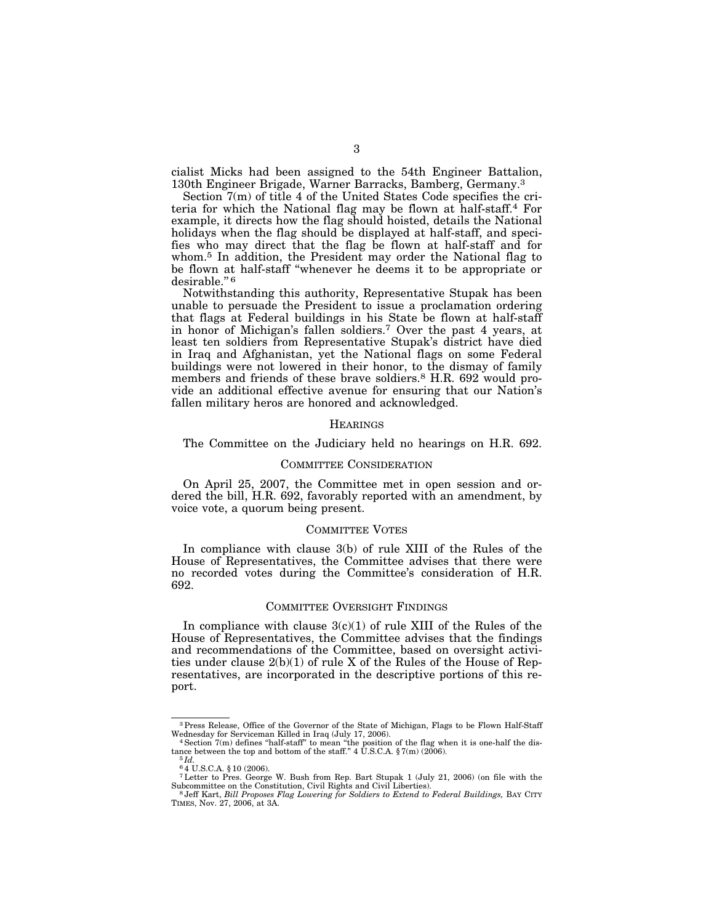cialist Micks had been assigned to the 54th Engineer Battalion, 130th Engineer Brigade, Warner Barracks, Bamberg, Germany.3

Section 7(m) of title 4 of the United States Code specifies the criteria for which the National flag may be flown at half-staff.4 For example, it directs how the flag should hoisted, details the National holidays when the flag should be displayed at half-staff, and specifies who may direct that the flag be flown at half-staff and for whom.5 In addition, the President may order the National flag to be flown at half-staff "whenever he deems it to be appropriate or desirable."<sup>6</sup>

Notwithstanding this authority, Representative Stupak has been unable to persuade the President to issue a proclamation ordering that flags at Federal buildings in his State be flown at half-staff in honor of Michigan's fallen soldiers.7 Over the past 4 years, at least ten soldiers from Representative Stupak's district have died in Iraq and Afghanistan, yet the National flags on some Federal buildings were not lowered in their honor, to the dismay of family members and friends of these brave soldiers.<sup>8</sup> H.R. 692 would provide an additional effective avenue for ensuring that our Nation's fallen military heros are honored and acknowledged.

#### **HEARINGS**

The Committee on the Judiciary held no hearings on H.R. 692.

## COMMITTEE CONSIDERATION

On April 25, 2007, the Committee met in open session and ordered the bill, H.R. 692, favorably reported with an amendment, by voice vote, a quorum being present.

## COMMITTEE VOTES

In compliance with clause 3(b) of rule XIII of the Rules of the House of Representatives, the Committee advises that there were no recorded votes during the Committee's consideration of H.R. 692.

## COMMITTEE OVERSIGHT FINDINGS

In compliance with clause  $3(c)(1)$  of rule XIII of the Rules of the House of Representatives, the Committee advises that the findings and recommendations of the Committee, based on oversight activities under clause 2(b)(1) of rule X of the Rules of the House of Representatives, are incorporated in the descriptive portions of this report.

<sup>&</sup>lt;sup>3</sup> Press Release, Office of the Governor of the State of Michigan, Flags to be Flown Half-Staff Wednesday for Serviceman Killed in Iraq (July 17, 2006).

 $4$  Section  $7(m)$  defines "half-staff" to mean "the position of the flag when it is one-half the distance between the top and bottom of the staff."  $4 \text{ U.S.C.A.} \$7(m) (2006)$ .<br><sup>5</sup>*Id.*  $64 \text{ U.S.C.A.} \$10 (2006)$ .

<sup>4 6 6 4</sup> U.S.C.A. § 10 (2000).<br>TLetter to Pres. George W. Bush from Rep. Bart Stupak 1 (July 21, 2006) (on file with the Subcommittee on the Constitution, Civil Rights and Civil Liberties).

Subcommittee on the Constitution, Civil Rights and Civil Liberties). 8 Jeff Kart, *Bill Proposes Flag Lowering for Soldiers to Extend to Federal Buildings,* BAY CITY TIMES, Nov. 27, 2006, at 3A.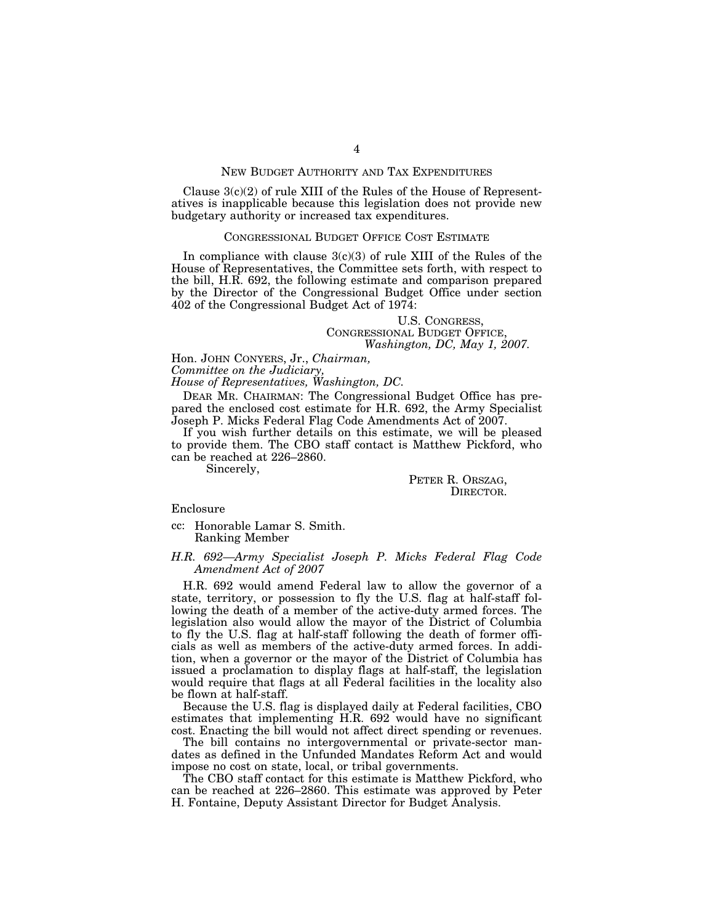## NEW BUDGET AUTHORITY AND TAX EXPENDITURES

Clause  $3(c)(2)$  of rule XIII of the Rules of the House of Representatives is inapplicable because this legislation does not provide new budgetary authority or increased tax expenditures.

## CONGRESSIONAL BUDGET OFFICE COST ESTIMATE

In compliance with clause  $3(c)(3)$  of rule XIII of the Rules of the House of Representatives, the Committee sets forth, with respect to the bill, H.R. 692, the following estimate and comparison prepared by the Director of the Congressional Budget Office under section 402 of the Congressional Budget Act of 1974:

# U.S. CONGRESS,<br>CONGRESSIONAL BUDGET OFFICE, *Washington, DC, May 1, 2007.*

Hon. JOHN CONYERS, Jr., *Chairman,* 

*Committee on the Judiciary,* 

*House of Representatives, Washington, DC.* 

DEAR MR. CHAIRMAN: The Congressional Budget Office has prepared the enclosed cost estimate for H.R. 692, the Army Specialist Joseph P. Micks Federal Flag Code Amendments Act of 2007.

If you wish further details on this estimate, we will be pleased to provide them. The CBO staff contact is Matthew Pickford, who can be reached at 226–2860.

Sincerely,

PETER R. ORSZAG, DIRECTOR.

## Enclosure

cc: Honorable Lamar S. Smith. Ranking Member

## *H.R. 692—Army Specialist Joseph P. Micks Federal Flag Code Amendment Act of 2007*

H.R. 692 would amend Federal law to allow the governor of a state, territory, or possession to fly the U.S. flag at half-staff following the death of a member of the active-duty armed forces. The legislation also would allow the mayor of the District of Columbia to fly the U.S. flag at half-staff following the death of former officials as well as members of the active-duty armed forces. In addition, when a governor or the mayor of the District of Columbia has issued a proclamation to display flags at half-staff, the legislation would require that flags at all Federal facilities in the locality also be flown at half-staff.

Because the U.S. flag is displayed daily at Federal facilities, CBO estimates that implementing H.R. 692 would have no significant cost. Enacting the bill would not affect direct spending or revenues.

The bill contains no intergovernmental or private-sector mandates as defined in the Unfunded Mandates Reform Act and would impose no cost on state, local, or tribal governments.

The CBO staff contact for this estimate is Matthew Pickford, who can be reached at 226–2860. This estimate was approved by Peter H. Fontaine, Deputy Assistant Director for Budget Analysis.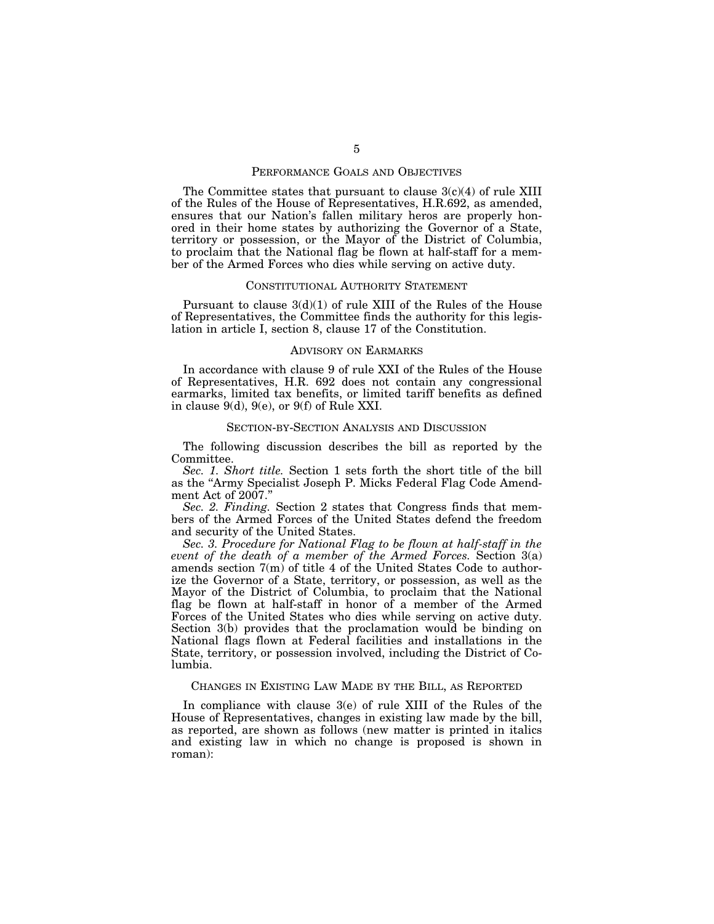## PERFORMANCE GOALS AND OBJECTIVES

The Committee states that pursuant to clause  $3(c)(4)$  of rule XIII of the Rules of the House of Representatives, H.R.692, as amended, ensures that our Nation's fallen military heros are properly honored in their home states by authorizing the Governor of a State, territory or possession, or the Mayor of the District of Columbia, to proclaim that the National flag be flown at half-staff for a member of the Armed Forces who dies while serving on active duty.

#### CONSTITUTIONAL AUTHORITY STATEMENT

Pursuant to clause  $3(d)(1)$  of rule XIII of the Rules of the House of Representatives, the Committee finds the authority for this legislation in article I, section 8, clause 17 of the Constitution.

## ADVISORY ON EARMARKS

In accordance with clause 9 of rule XXI of the Rules of the House of Representatives, H.R. 692 does not contain any congressional earmarks, limited tax benefits, or limited tariff benefits as defined in clause 9(d), 9(e), or 9(f) of Rule XXI.

#### SECTION-BY-SECTION ANALYSIS AND DISCUSSION

The following discussion describes the bill as reported by the Committee.

*Sec. 1. Short title.* Section 1 sets forth the short title of the bill as the ''Army Specialist Joseph P. Micks Federal Flag Code Amendment Act of 2007.''

*Sec. 2. Finding.* Section 2 states that Congress finds that members of the Armed Forces of the United States defend the freedom and security of the United States.

*Sec. 3. Procedure for National Flag to be flown at half-staff in the event of the death of a member of the Armed Forces.* Section 3(a) amends section 7(m) of title 4 of the United States Code to authorize the Governor of a State, territory, or possession, as well as the Mayor of the District of Columbia, to proclaim that the National flag be flown at half-staff in honor of a member of the Armed Forces of the United States who dies while serving on active duty. Section 3(b) provides that the proclamation would be binding on National flags flown at Federal facilities and installations in the State, territory, or possession involved, including the District of Columbia.

## CHANGES IN EXISTING LAW MADE BY THE BILL, AS REPORTED

In compliance with clause 3(e) of rule XIII of the Rules of the House of Representatives, changes in existing law made by the bill, as reported, are shown as follows (new matter is printed in italics and existing law in which no change is proposed is shown in roman):